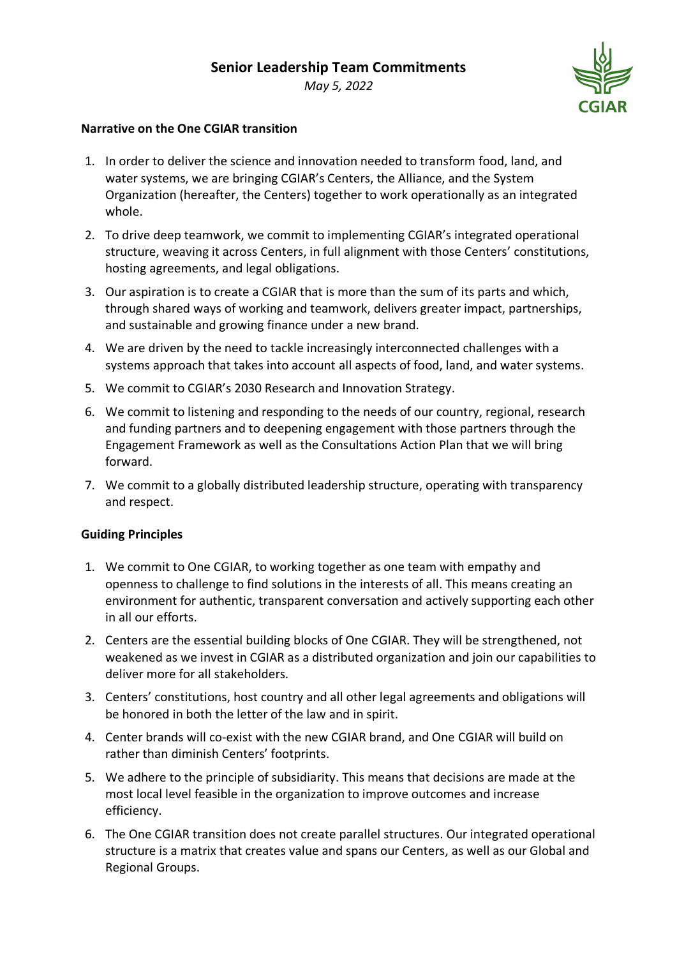*May 5, 2022*

## **Narrative on the One CGIAR transition**

- 1. In order to deliver the science and innovation needed to transform food, land, and water systems, we are bringing CGIAR's Centers, the Alliance, and the System Organization (hereafter, the Centers) together to work operationally as an integrated whole.
- 2. To drive deep teamwork, we commit to implementing CGIAR's integrated operational structure, weaving it across Centers, in full alignment with those Centers' constitutions, hosting agreements, and legal obligations.
- 3. Our aspiration is to create a CGIAR that is more than the sum of its parts and which, through shared ways of working and teamwork, delivers greater impact, partnerships, and sustainable and growing finance under a new brand.
- 4. We are driven by the need to tackle increasingly interconnected challenges with a systems approach that takes into account all aspects of food, land, and water systems.
- 5. We commit to CGIAR's 2030 Research and Innovation Strategy.
- 6. We commit to listening and responding to the needs of our country, regional, research and funding partners and to deepening engagement with those partners through the Engagement Framework as well as the Consultations Action Plan that we will bring forward.
- 7. We commit to a globally distributed leadership structure, operating with transparency and respect.

## **Guiding Principles**

- 1. We commit to One CGIAR, to working together as one team with empathy and openness to challenge to find solutions in the interests of all. This means creating an environment for authentic, transparent conversation and actively supporting each other in all our efforts.
- 2. Centers are the essential building blocks of One CGIAR. They will be strengthened, not weakened as we invest in CGIAR as a distributed organization and join our capabilities to deliver more for all stakeholders.
- 3. Centers' constitutions, host country and all other legal agreements and obligations will be honored in both the letter of the law and in spirit.
- 4. Center brands will co-exist with the new CGIAR brand, and One CGIAR will build on rather than diminish Centers' footprints.
- 5. We adhere to the principle of subsidiarity. This means that decisions are made at the most local level feasible in the organization to improve outcomes and increase efficiency.
- 6. The One CGIAR transition does not create parallel structures. Our integrated operational structure is a matrix that creates value and spans our Centers, as well as our Global and Regional Groups.